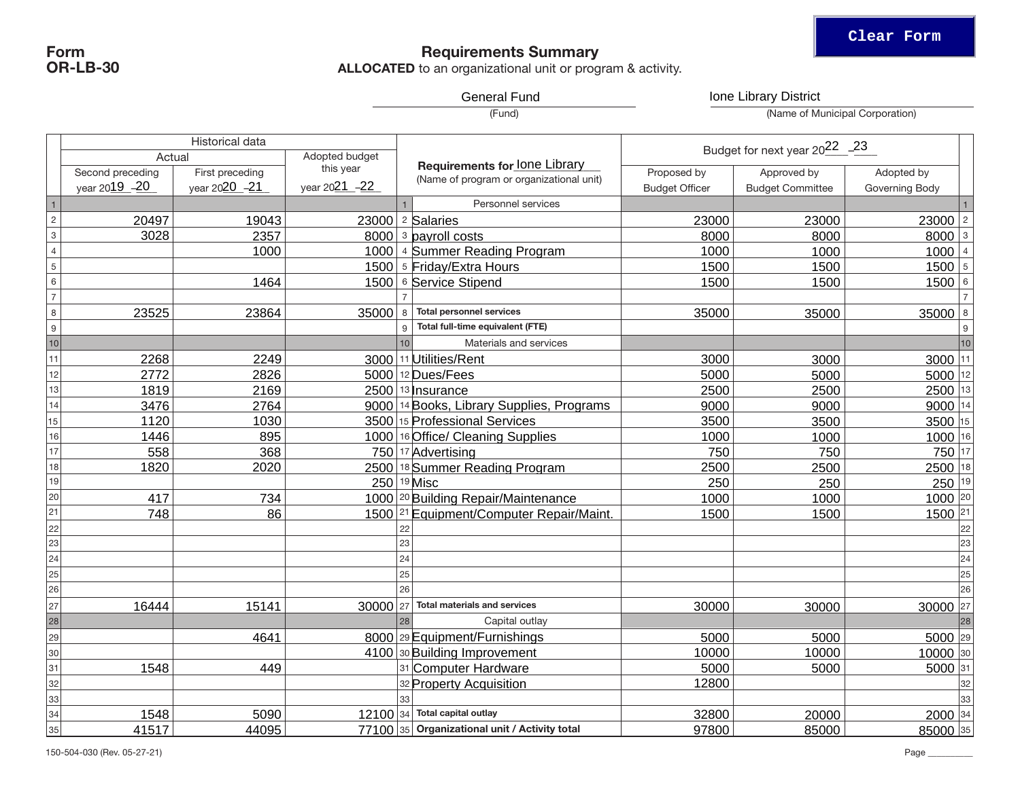## Requirements Summary

**ALLOCATED** to an organizational unit or program & activity.

General Fund **Ione Library District** 

(Fund)

(Name of Municipal Corporation)

| Adopted budget<br>Actual<br><b>Requirements for lone Library</b><br>this year<br>First preceding<br>Proposed by<br>Approved by<br>Second preceding<br>Adopted by<br>(Name of program or organizational unit)<br>year 2021 -22<br>year 2019 - 20<br>year 2020 -21<br><b>Budget Officer</b><br><b>Budget Committee</b><br>Governing Body<br>$\vert$ 1<br>Personnel services<br>$\sqrt{2}$<br>$23000$   2<br>20497<br>23000 $ 2$ Salaries<br>19043<br>23000<br>23000<br>$\mathbf 3$<br>$8000$ 3<br>3028<br>2357<br>$8000$ $\frac{3}{3}$ payroll costs<br>8000<br>8000<br>$\sqrt{4}$<br>1000<br>$1000$   4  <br>1000<br>1000 4 Summer Reading Program<br>1000<br>$\sqrt{5}$<br>1500 5 Friday/Extra Hours<br>15005<br>1500<br>1500<br>$\,6\,$<br>15006<br>1464<br>1500 6 Service Stipend<br>1500<br>1500<br>$\overline{7}$<br>$\overline{7}$<br>$\,8\,$<br>$35000$ 8<br>23525<br>23864<br><b>Total personnel services</b><br>35000<br>35000<br>35000<br>$\boldsymbol{9}$<br>Total full-time equivalent (FTE)<br>9<br>q<br>10<br>10<br>Materials and services<br>11<br>$3000$  11<br>3000 11 Utilities/Rent<br>2268<br>2249<br>3000<br>3000<br>2826<br>$5000$  12<br>12<br>2772<br>$5000$   12 Dues/Fees<br>5000<br>5000<br>$2500$  13<br>13<br>2169<br>$2500$   13   nsurance<br>1819<br>2500<br>2500<br>14<br>9000 14<br>2764<br>9000 14 Books, Library Supplies, Programs<br>9000<br>3476<br>9000<br>15<br>3500<br>3500 15<br>1120<br>1030<br>3500 15 Professional Services<br>3500<br>1000 16<br>895<br>1000<br>16<br>1000 16 Office/ Cleaning Supplies<br>1446<br>1000<br>17<br>750 17<br>558<br>368<br>750<br>750 17 Advertising<br>750<br>2500 18<br>18<br>1820<br>2020<br>2500 18 Summer Reading Program<br>2500<br>2500<br>19<br>250 19 <br>$250 ^{19}$ Misc<br>250<br>250<br>20<br>$1000$ <sup>20</sup><br>417<br>1000 20 Building Repair/Maintenance<br>1000<br>734<br>1000<br>$\overline{21}$<br>$1500$ <sup>21</sup><br>748<br>86<br>1500 21 Equipment/Computer Repair/Maint.<br>1500<br>1500<br>22<br>22<br>$\overline{23}$<br>23<br>$\overline{24}$<br>$\overline{24}$<br>24<br>$\overline{25}$<br>25<br>26<br>26<br>27<br><b>Total materials and services</b><br>30000 27<br>30000 27<br>16444<br>15141<br>30000<br>30000<br>28<br>28<br>Capital outlay<br>29<br>5000 29<br>4641<br>8000 29 Equipment/Furnishings<br>5000<br>5000<br>10000 30<br>30<br>4100 30 Building Improvement<br>10000<br>10000<br>31<br>5000 31<br>1548<br>449<br>31 Computer Hardware<br>5000<br>5000<br>32<br>12800<br>32 Property Acquisition<br>33<br>12100 34 Total capital outlay<br>2000 34<br>1548<br>5090<br>32800<br>34<br>20000<br>77100 35 Organizational unit / Activity total<br>85000 35<br>41517<br>44095<br>97800<br>35<br>85000 | Historical data |  |  | Budget for next year 2022_23 |  |  |              |
|------------------------------------------------------------------------------------------------------------------------------------------------------------------------------------------------------------------------------------------------------------------------------------------------------------------------------------------------------------------------------------------------------------------------------------------------------------------------------------------------------------------------------------------------------------------------------------------------------------------------------------------------------------------------------------------------------------------------------------------------------------------------------------------------------------------------------------------------------------------------------------------------------------------------------------------------------------------------------------------------------------------------------------------------------------------------------------------------------------------------------------------------------------------------------------------------------------------------------------------------------------------------------------------------------------------------------------------------------------------------------------------------------------------------------------------------------------------------------------------------------------------------------------------------------------------------------------------------------------------------------------------------------------------------------------------------------------------------------------------------------------------------------------------------------------------------------------------------------------------------------------------------------------------------------------------------------------------------------------------------------------------------------------------------------------------------------------------------------------------------------------------------------------------------------------------------------------------------------------------------------------------------------------------------------------------------------------------------------------------------------------------------------------------------------------------------------------------------------------------------------------------------------------------------------------------------------------------------------------------------------------------------------------------------------------------------------------------------------------|-----------------|--|--|------------------------------|--|--|--------------|
|                                                                                                                                                                                                                                                                                                                                                                                                                                                                                                                                                                                                                                                                                                                                                                                                                                                                                                                                                                                                                                                                                                                                                                                                                                                                                                                                                                                                                                                                                                                                                                                                                                                                                                                                                                                                                                                                                                                                                                                                                                                                                                                                                                                                                                                                                                                                                                                                                                                                                                                                                                                                                                                                                                                                    |                 |  |  |                              |  |  |              |
|                                                                                                                                                                                                                                                                                                                                                                                                                                                                                                                                                                                                                                                                                                                                                                                                                                                                                                                                                                                                                                                                                                                                                                                                                                                                                                                                                                                                                                                                                                                                                                                                                                                                                                                                                                                                                                                                                                                                                                                                                                                                                                                                                                                                                                                                                                                                                                                                                                                                                                                                                                                                                                                                                                                                    |                 |  |  |                              |  |  |              |
|                                                                                                                                                                                                                                                                                                                                                                                                                                                                                                                                                                                                                                                                                                                                                                                                                                                                                                                                                                                                                                                                                                                                                                                                                                                                                                                                                                                                                                                                                                                                                                                                                                                                                                                                                                                                                                                                                                                                                                                                                                                                                                                                                                                                                                                                                                                                                                                                                                                                                                                                                                                                                                                                                                                                    |                 |  |  |                              |  |  |              |
|                                                                                                                                                                                                                                                                                                                                                                                                                                                                                                                                                                                                                                                                                                                                                                                                                                                                                                                                                                                                                                                                                                                                                                                                                                                                                                                                                                                                                                                                                                                                                                                                                                                                                                                                                                                                                                                                                                                                                                                                                                                                                                                                                                                                                                                                                                                                                                                                                                                                                                                                                                                                                                                                                                                                    |                 |  |  |                              |  |  | $\mathbf{1}$ |
|                                                                                                                                                                                                                                                                                                                                                                                                                                                                                                                                                                                                                                                                                                                                                                                                                                                                                                                                                                                                                                                                                                                                                                                                                                                                                                                                                                                                                                                                                                                                                                                                                                                                                                                                                                                                                                                                                                                                                                                                                                                                                                                                                                                                                                                                                                                                                                                                                                                                                                                                                                                                                                                                                                                                    |                 |  |  |                              |  |  |              |
|                                                                                                                                                                                                                                                                                                                                                                                                                                                                                                                                                                                                                                                                                                                                                                                                                                                                                                                                                                                                                                                                                                                                                                                                                                                                                                                                                                                                                                                                                                                                                                                                                                                                                                                                                                                                                                                                                                                                                                                                                                                                                                                                                                                                                                                                                                                                                                                                                                                                                                                                                                                                                                                                                                                                    |                 |  |  |                              |  |  |              |
|                                                                                                                                                                                                                                                                                                                                                                                                                                                                                                                                                                                                                                                                                                                                                                                                                                                                                                                                                                                                                                                                                                                                                                                                                                                                                                                                                                                                                                                                                                                                                                                                                                                                                                                                                                                                                                                                                                                                                                                                                                                                                                                                                                                                                                                                                                                                                                                                                                                                                                                                                                                                                                                                                                                                    |                 |  |  |                              |  |  |              |
|                                                                                                                                                                                                                                                                                                                                                                                                                                                                                                                                                                                                                                                                                                                                                                                                                                                                                                                                                                                                                                                                                                                                                                                                                                                                                                                                                                                                                                                                                                                                                                                                                                                                                                                                                                                                                                                                                                                                                                                                                                                                                                                                                                                                                                                                                                                                                                                                                                                                                                                                                                                                                                                                                                                                    |                 |  |  |                              |  |  |              |
|                                                                                                                                                                                                                                                                                                                                                                                                                                                                                                                                                                                                                                                                                                                                                                                                                                                                                                                                                                                                                                                                                                                                                                                                                                                                                                                                                                                                                                                                                                                                                                                                                                                                                                                                                                                                                                                                                                                                                                                                                                                                                                                                                                                                                                                                                                                                                                                                                                                                                                                                                                                                                                                                                                                                    |                 |  |  |                              |  |  |              |
|                                                                                                                                                                                                                                                                                                                                                                                                                                                                                                                                                                                                                                                                                                                                                                                                                                                                                                                                                                                                                                                                                                                                                                                                                                                                                                                                                                                                                                                                                                                                                                                                                                                                                                                                                                                                                                                                                                                                                                                                                                                                                                                                                                                                                                                                                                                                                                                                                                                                                                                                                                                                                                                                                                                                    |                 |  |  |                              |  |  |              |
|                                                                                                                                                                                                                                                                                                                                                                                                                                                                                                                                                                                                                                                                                                                                                                                                                                                                                                                                                                                                                                                                                                                                                                                                                                                                                                                                                                                                                                                                                                                                                                                                                                                                                                                                                                                                                                                                                                                                                                                                                                                                                                                                                                                                                                                                                                                                                                                                                                                                                                                                                                                                                                                                                                                                    |                 |  |  |                              |  |  |              |
|                                                                                                                                                                                                                                                                                                                                                                                                                                                                                                                                                                                                                                                                                                                                                                                                                                                                                                                                                                                                                                                                                                                                                                                                                                                                                                                                                                                                                                                                                                                                                                                                                                                                                                                                                                                                                                                                                                                                                                                                                                                                                                                                                                                                                                                                                                                                                                                                                                                                                                                                                                                                                                                                                                                                    |                 |  |  |                              |  |  |              |
|                                                                                                                                                                                                                                                                                                                                                                                                                                                                                                                                                                                                                                                                                                                                                                                                                                                                                                                                                                                                                                                                                                                                                                                                                                                                                                                                                                                                                                                                                                                                                                                                                                                                                                                                                                                                                                                                                                                                                                                                                                                                                                                                                                                                                                                                                                                                                                                                                                                                                                                                                                                                                                                                                                                                    |                 |  |  |                              |  |  | 10           |
|                                                                                                                                                                                                                                                                                                                                                                                                                                                                                                                                                                                                                                                                                                                                                                                                                                                                                                                                                                                                                                                                                                                                                                                                                                                                                                                                                                                                                                                                                                                                                                                                                                                                                                                                                                                                                                                                                                                                                                                                                                                                                                                                                                                                                                                                                                                                                                                                                                                                                                                                                                                                                                                                                                                                    |                 |  |  |                              |  |  |              |
|                                                                                                                                                                                                                                                                                                                                                                                                                                                                                                                                                                                                                                                                                                                                                                                                                                                                                                                                                                                                                                                                                                                                                                                                                                                                                                                                                                                                                                                                                                                                                                                                                                                                                                                                                                                                                                                                                                                                                                                                                                                                                                                                                                                                                                                                                                                                                                                                                                                                                                                                                                                                                                                                                                                                    |                 |  |  |                              |  |  |              |
|                                                                                                                                                                                                                                                                                                                                                                                                                                                                                                                                                                                                                                                                                                                                                                                                                                                                                                                                                                                                                                                                                                                                                                                                                                                                                                                                                                                                                                                                                                                                                                                                                                                                                                                                                                                                                                                                                                                                                                                                                                                                                                                                                                                                                                                                                                                                                                                                                                                                                                                                                                                                                                                                                                                                    |                 |  |  |                              |  |  |              |
|                                                                                                                                                                                                                                                                                                                                                                                                                                                                                                                                                                                                                                                                                                                                                                                                                                                                                                                                                                                                                                                                                                                                                                                                                                                                                                                                                                                                                                                                                                                                                                                                                                                                                                                                                                                                                                                                                                                                                                                                                                                                                                                                                                                                                                                                                                                                                                                                                                                                                                                                                                                                                                                                                                                                    |                 |  |  |                              |  |  |              |
|                                                                                                                                                                                                                                                                                                                                                                                                                                                                                                                                                                                                                                                                                                                                                                                                                                                                                                                                                                                                                                                                                                                                                                                                                                                                                                                                                                                                                                                                                                                                                                                                                                                                                                                                                                                                                                                                                                                                                                                                                                                                                                                                                                                                                                                                                                                                                                                                                                                                                                                                                                                                                                                                                                                                    |                 |  |  |                              |  |  |              |
|                                                                                                                                                                                                                                                                                                                                                                                                                                                                                                                                                                                                                                                                                                                                                                                                                                                                                                                                                                                                                                                                                                                                                                                                                                                                                                                                                                                                                                                                                                                                                                                                                                                                                                                                                                                                                                                                                                                                                                                                                                                                                                                                                                                                                                                                                                                                                                                                                                                                                                                                                                                                                                                                                                                                    |                 |  |  |                              |  |  |              |
|                                                                                                                                                                                                                                                                                                                                                                                                                                                                                                                                                                                                                                                                                                                                                                                                                                                                                                                                                                                                                                                                                                                                                                                                                                                                                                                                                                                                                                                                                                                                                                                                                                                                                                                                                                                                                                                                                                                                                                                                                                                                                                                                                                                                                                                                                                                                                                                                                                                                                                                                                                                                                                                                                                                                    |                 |  |  |                              |  |  |              |
|                                                                                                                                                                                                                                                                                                                                                                                                                                                                                                                                                                                                                                                                                                                                                                                                                                                                                                                                                                                                                                                                                                                                                                                                                                                                                                                                                                                                                                                                                                                                                                                                                                                                                                                                                                                                                                                                                                                                                                                                                                                                                                                                                                                                                                                                                                                                                                                                                                                                                                                                                                                                                                                                                                                                    |                 |  |  |                              |  |  |              |
|                                                                                                                                                                                                                                                                                                                                                                                                                                                                                                                                                                                                                                                                                                                                                                                                                                                                                                                                                                                                                                                                                                                                                                                                                                                                                                                                                                                                                                                                                                                                                                                                                                                                                                                                                                                                                                                                                                                                                                                                                                                                                                                                                                                                                                                                                                                                                                                                                                                                                                                                                                                                                                                                                                                                    |                 |  |  |                              |  |  |              |
|                                                                                                                                                                                                                                                                                                                                                                                                                                                                                                                                                                                                                                                                                                                                                                                                                                                                                                                                                                                                                                                                                                                                                                                                                                                                                                                                                                                                                                                                                                                                                                                                                                                                                                                                                                                                                                                                                                                                                                                                                                                                                                                                                                                                                                                                                                                                                                                                                                                                                                                                                                                                                                                                                                                                    |                 |  |  |                              |  |  |              |
|                                                                                                                                                                                                                                                                                                                                                                                                                                                                                                                                                                                                                                                                                                                                                                                                                                                                                                                                                                                                                                                                                                                                                                                                                                                                                                                                                                                                                                                                                                                                                                                                                                                                                                                                                                                                                                                                                                                                                                                                                                                                                                                                                                                                                                                                                                                                                                                                                                                                                                                                                                                                                                                                                                                                    |                 |  |  |                              |  |  |              |
|                                                                                                                                                                                                                                                                                                                                                                                                                                                                                                                                                                                                                                                                                                                                                                                                                                                                                                                                                                                                                                                                                                                                                                                                                                                                                                                                                                                                                                                                                                                                                                                                                                                                                                                                                                                                                                                                                                                                                                                                                                                                                                                                                                                                                                                                                                                                                                                                                                                                                                                                                                                                                                                                                                                                    |                 |  |  |                              |  |  | 22           |
|                                                                                                                                                                                                                                                                                                                                                                                                                                                                                                                                                                                                                                                                                                                                                                                                                                                                                                                                                                                                                                                                                                                                                                                                                                                                                                                                                                                                                                                                                                                                                                                                                                                                                                                                                                                                                                                                                                                                                                                                                                                                                                                                                                                                                                                                                                                                                                                                                                                                                                                                                                                                                                                                                                                                    |                 |  |  |                              |  |  | 23           |
|                                                                                                                                                                                                                                                                                                                                                                                                                                                                                                                                                                                                                                                                                                                                                                                                                                                                                                                                                                                                                                                                                                                                                                                                                                                                                                                                                                                                                                                                                                                                                                                                                                                                                                                                                                                                                                                                                                                                                                                                                                                                                                                                                                                                                                                                                                                                                                                                                                                                                                                                                                                                                                                                                                                                    |                 |  |  |                              |  |  |              |
|                                                                                                                                                                                                                                                                                                                                                                                                                                                                                                                                                                                                                                                                                                                                                                                                                                                                                                                                                                                                                                                                                                                                                                                                                                                                                                                                                                                                                                                                                                                                                                                                                                                                                                                                                                                                                                                                                                                                                                                                                                                                                                                                                                                                                                                                                                                                                                                                                                                                                                                                                                                                                                                                                                                                    |                 |  |  |                              |  |  | 25           |
|                                                                                                                                                                                                                                                                                                                                                                                                                                                                                                                                                                                                                                                                                                                                                                                                                                                                                                                                                                                                                                                                                                                                                                                                                                                                                                                                                                                                                                                                                                                                                                                                                                                                                                                                                                                                                                                                                                                                                                                                                                                                                                                                                                                                                                                                                                                                                                                                                                                                                                                                                                                                                                                                                                                                    |                 |  |  |                              |  |  | 26           |
|                                                                                                                                                                                                                                                                                                                                                                                                                                                                                                                                                                                                                                                                                                                                                                                                                                                                                                                                                                                                                                                                                                                                                                                                                                                                                                                                                                                                                                                                                                                                                                                                                                                                                                                                                                                                                                                                                                                                                                                                                                                                                                                                                                                                                                                                                                                                                                                                                                                                                                                                                                                                                                                                                                                                    |                 |  |  |                              |  |  |              |
|                                                                                                                                                                                                                                                                                                                                                                                                                                                                                                                                                                                                                                                                                                                                                                                                                                                                                                                                                                                                                                                                                                                                                                                                                                                                                                                                                                                                                                                                                                                                                                                                                                                                                                                                                                                                                                                                                                                                                                                                                                                                                                                                                                                                                                                                                                                                                                                                                                                                                                                                                                                                                                                                                                                                    |                 |  |  |                              |  |  | 28           |
|                                                                                                                                                                                                                                                                                                                                                                                                                                                                                                                                                                                                                                                                                                                                                                                                                                                                                                                                                                                                                                                                                                                                                                                                                                                                                                                                                                                                                                                                                                                                                                                                                                                                                                                                                                                                                                                                                                                                                                                                                                                                                                                                                                                                                                                                                                                                                                                                                                                                                                                                                                                                                                                                                                                                    |                 |  |  |                              |  |  |              |
|                                                                                                                                                                                                                                                                                                                                                                                                                                                                                                                                                                                                                                                                                                                                                                                                                                                                                                                                                                                                                                                                                                                                                                                                                                                                                                                                                                                                                                                                                                                                                                                                                                                                                                                                                                                                                                                                                                                                                                                                                                                                                                                                                                                                                                                                                                                                                                                                                                                                                                                                                                                                                                                                                                                                    |                 |  |  |                              |  |  |              |
|                                                                                                                                                                                                                                                                                                                                                                                                                                                                                                                                                                                                                                                                                                                                                                                                                                                                                                                                                                                                                                                                                                                                                                                                                                                                                                                                                                                                                                                                                                                                                                                                                                                                                                                                                                                                                                                                                                                                                                                                                                                                                                                                                                                                                                                                                                                                                                                                                                                                                                                                                                                                                                                                                                                                    |                 |  |  |                              |  |  |              |
|                                                                                                                                                                                                                                                                                                                                                                                                                                                                                                                                                                                                                                                                                                                                                                                                                                                                                                                                                                                                                                                                                                                                                                                                                                                                                                                                                                                                                                                                                                                                                                                                                                                                                                                                                                                                                                                                                                                                                                                                                                                                                                                                                                                                                                                                                                                                                                                                                                                                                                                                                                                                                                                                                                                                    |                 |  |  |                              |  |  | 32           |
|                                                                                                                                                                                                                                                                                                                                                                                                                                                                                                                                                                                                                                                                                                                                                                                                                                                                                                                                                                                                                                                                                                                                                                                                                                                                                                                                                                                                                                                                                                                                                                                                                                                                                                                                                                                                                                                                                                                                                                                                                                                                                                                                                                                                                                                                                                                                                                                                                                                                                                                                                                                                                                                                                                                                    |                 |  |  |                              |  |  | 33           |
|                                                                                                                                                                                                                                                                                                                                                                                                                                                                                                                                                                                                                                                                                                                                                                                                                                                                                                                                                                                                                                                                                                                                                                                                                                                                                                                                                                                                                                                                                                                                                                                                                                                                                                                                                                                                                                                                                                                                                                                                                                                                                                                                                                                                                                                                                                                                                                                                                                                                                                                                                                                                                                                                                                                                    |                 |  |  |                              |  |  |              |
|                                                                                                                                                                                                                                                                                                                                                                                                                                                                                                                                                                                                                                                                                                                                                                                                                                                                                                                                                                                                                                                                                                                                                                                                                                                                                                                                                                                                                                                                                                                                                                                                                                                                                                                                                                                                                                                                                                                                                                                                                                                                                                                                                                                                                                                                                                                                                                                                                                                                                                                                                                                                                                                                                                                                    |                 |  |  |                              |  |  |              |